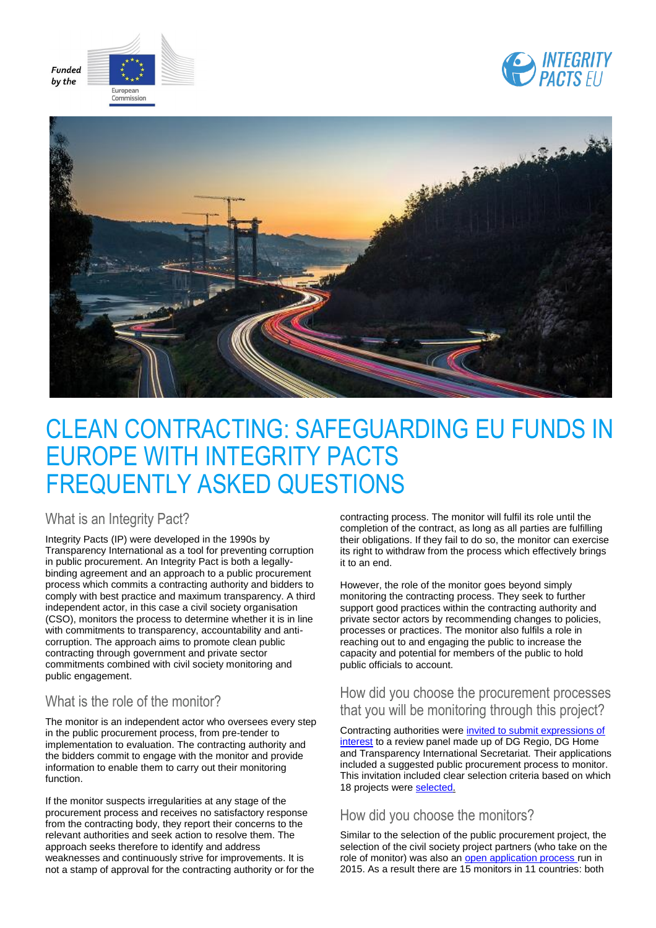





# CLEAN CONTRACTING: SAFEGUARDING EU FUNDS IN EUROPE WITH INTEGRITY PACTS FREQUENTLY ASKED QUESTIONS

What is an Integrity Pact?

Integrity Pacts (IP) were developed in the 1990s by Transparency International as a tool for preventing corruption in public procurement. An Integrity Pact is both a legallybinding agreement and an approach to a public procurement process which commits a contracting authority and bidders to comply with best practice and maximum transparency. A third independent actor, in this case a civil society organisation (CSO), monitors the process to determine whether it is in line with commitments to transparency, accountability and anticorruption. The approach aims to promote clean public contracting through government and private sector commitments combined with civil society monitoring and public engagement.

# What is the role of the monitor?

The monitor is an independent actor who oversees every step in the public procurement process, from pre-tender to implementation to evaluation. The contracting authority and the bidders commit to engage with the monitor and provide information to enable them to carry out their monitoring function.

If the monitor suspects irregularities at any stage of the procurement process and receives no satisfactory response from the contracting body, they report their concerns to the relevant authorities and seek action to resolve them. The approach seeks therefore to identify and address weaknesses and continuously strive for improvements. It is not a stamp of approval for the contracting authority or for the contracting process. The monitor will fulfil its role until the completion of the contract, as long as all parties are fulfilling their obligations. If they fail to do so, the monitor can exercise its right to withdraw from the process which effectively brings it to an end.

However, the role of the monitor goes beyond simply monitoring the contracting process. They seek to further support good practices within the contracting authority and private sector actors by recommending changes to policies, processes or practices. The monitor also fulfils a role in reaching out to and engaging the public to increase the capacity and potential for members of the public to hold public officials to account.

# How did you choose the procurement processes that you will be monitoring through this project?

Contracting authorities were [invited to submit expressions of](http://ec.europa.eu/regional_policy/sources/tender/pdf/expression/integrity-pacts/call_pubauth_en.pdf)  [interest](http://ec.europa.eu/regional_policy/sources/tender/pdf/expression/integrity-pacts/call_pubauth_en.pdf) to a review panel made up of DG Regio, DG Home and Transparency International Secretariat. Their applications included a suggested public procurement process to monitor. This invitation included clear selection criteria based on which 18 projects were [selected.](http://ec.europa.eu/regional_policy/sources/tender/pdf/expression/integrity-pacts/shortlist.pdf)

# How did you choose the monitors?

Similar to the selection of the public procurement project, the selection of the civil society project partners (who take on the role of monitor) was also a[n open application process r](http://ec.europa.eu/regional_policy/sources/tender/pdf/expression/integrity-pacts/call_ngos_en.pdf)un in 2015. As a result there are 15 monitors in 11 countries: both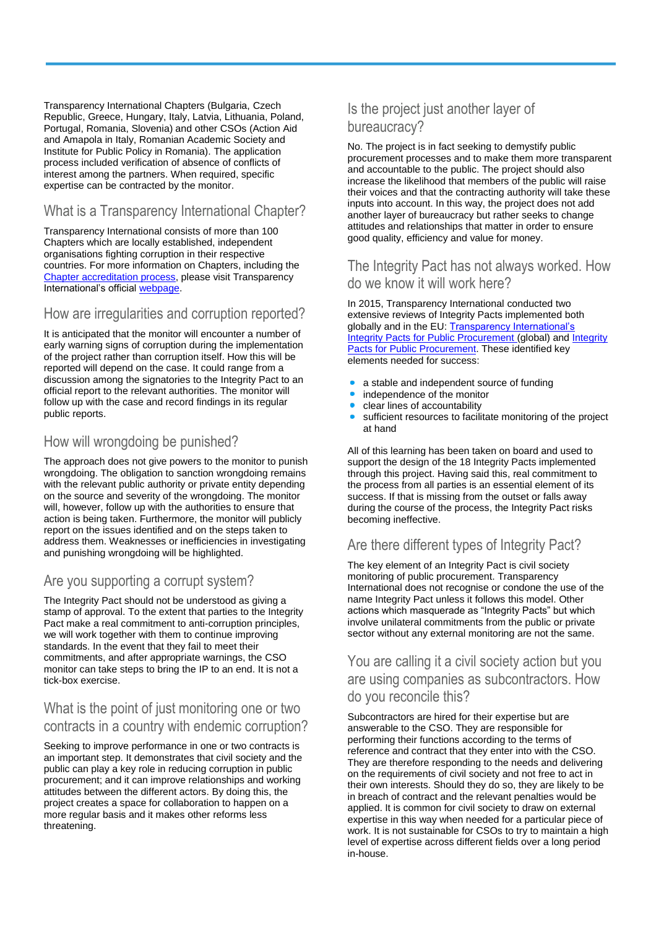Transparency International Chapters (Bulgaria, Czech Republic, Greece, Hungary, Italy, Latvia, Lithuania, Poland, Portugal, Romania, Slovenia) and other CSOs (Action Aid and Amapola in Italy, Romanian Academic Society and Institute for Public Policy in Romania). The application process included verification of absence of conflicts of interest among the partners. When required, specific expertise can be contracted by the monitor.

# What is a Transparency International Chapter?

Transparency International consists of more than 100 Chapters which are locally established, independent organisations fighting corruption in their respective countries. For more information on Chapters, including the [Chapter accreditation process,](http://www.transparency.org/whoweare/accountability/national_chapter_accreditation_and_individual_member_appointment_policy/0/) please visit Transparency International's official [webpage.](http://www.transparency.org/whoweare/organisation/our_chapters/0/)

# How are irregularities and corruption reported?

It is anticipated that the monitor will encounter a number of early warning signs of corruption during the implementation of the project rather than corruption itself. How this will be reported will depend on the case. It could range from a discussion among the signatories to the Integrity Pact to an official report to the relevant authorities. The monitor will follow up with the case and record findings in its regular public reports.

#### How will wrongdoing be punished?

The approach does not give powers to the monitor to punish wrongdoing. The obligation to sanction wrongdoing remains with the relevant public authority or private entity depending on the source and severity of the wrongdoing. The monitor will, however, follow up with the authorities to ensure that action is being taken. Furthermore, the monitor will publicly report on the issues identified and on the steps taken to address them. Weaknesses or inefficiencies in investigating and punishing wrongdoing will be highlighted.

# Are you supporting a corrupt system?

The Integrity Pact should not be understood as giving a stamp of approval. To the extent that parties to the Integrity Pact make a real commitment to anti-corruption principles, we will work together with them to continue improving standards. In the event that they fail to meet their commitments, and after appropriate warnings, the CSO monitor can take steps to bring the IP to an end. It is not a tick-box exercise.

#### What is the point of just monitoring one or two contracts in a country with endemic corruption?

Seeking to improve performance in one or two contracts is an important step. It demonstrates that civil society and the public can play a key role in reducing corruption in public procurement; and it can improve relationships and working attitudes between the different actors. By doing this, the project creates a space for collaboration to happen on a more regular basis and it makes other reforms less threatening.

# Is the project just another layer of bureaucracy?

No. The project is in fact seeking to demystify public procurement processes and to make them more transparent and accountable to the public. The project should also increase the likelihood that members of the public will raise their voices and that the contracting authority will take these inputs into account. In this way, the project does not add another layer of bureaucracy but rather seeks to change attitudes and relationships that matter in order to ensure good quality, efficiency and value for money.

### The Integrity Pact has not always worked. How do we know it will work here?

In 2015, Transparency International conducted two extensive reviews of Integrity Pacts implemented both globally and in the EU: Transparency International's [Integrity Pacts for Public Procurement](http://www.transparency.org/files/content/ouraccountability/2015_IntegrityPacts_LearningReview_EN.pdf) (global) and Integrity [Pacts for Public Procurement.](https://www.transparency.org/files/content/ouraccountability/2015_IntegrityPacts_LearningReview_EN.pdf) These identified key elements needed for success:

- a stable and independent source of funding
- independence of the monitor
- clear lines of accountability
- sufficient resources to facilitate monitoring of the project at hand

All of this learning has been taken on board and used to support the design of the 18 Integrity Pacts implemented through this project. Having said this, real commitment to the process from all parties is an essential element of its success. If that is missing from the outset or falls away during the course of the process, the Integrity Pact risks becoming ineffective.

# Are there different types of Integrity Pact?

The key element of an Integrity Pact is civil society monitoring of public procurement. Transparency International does not recognise or condone the use of the name Integrity Pact unless it follows this model. Other actions which masquerade as "Integrity Pacts" but which involve unilateral commitments from the public or private sector without any external monitoring are not the same.

# You are calling it a civil society action but you are using companies as subcontractors. How do you reconcile this?

Subcontractors are hired for their expertise but are answerable to the CSO. They are responsible for performing their functions according to the terms of reference and contract that they enter into with the CSO. They are therefore responding to the needs and delivering on the requirements of civil society and not free to act in their own interests. Should they do so, they are likely to be in breach of contract and the relevant penalties would be applied. It is common for civil society to draw on external expertise in this way when needed for a particular piece of work. It is not sustainable for CSOs to try to maintain a high level of expertise across different fields over a long period in-house.